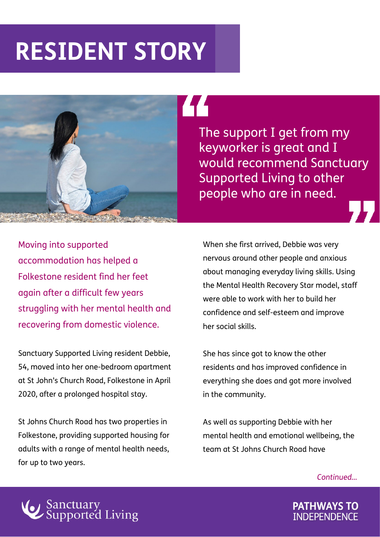## **RESIDENT STORY**



The support I get from my keyworker is great and I would recommend Sanctuary Supported Living to other people who are in need.

Moving into supported accommodation has helped a Folkestone resident find her feet again after a difficult few years struggling with her mental health and recovering from domestic violence.

Sanctuary Supported Living resident Debbie, 54, moved into her one-bedroom apartment at St John's Church Road, Folkestone in April 2020, after a prolonged hospital stay.

St Johns Church Road has two properties in Folkestone, providing supported housing for adults with a range of mental health needs, for up to two years.

When she first arrived, Debbie was very nervous around other people and anxious about managing everyday living skills. Using the Mental Health Recovery Star model, staff were able to work with her to build her confidence and self-esteem and improve her social skills.

She has since got to know the other residents and has improved confidence in everything she does and got more involved in the community.

As well as supporting Debbie with her mental health and emotional wellbeing, the team at St Johns Church Road have

*Continued…*